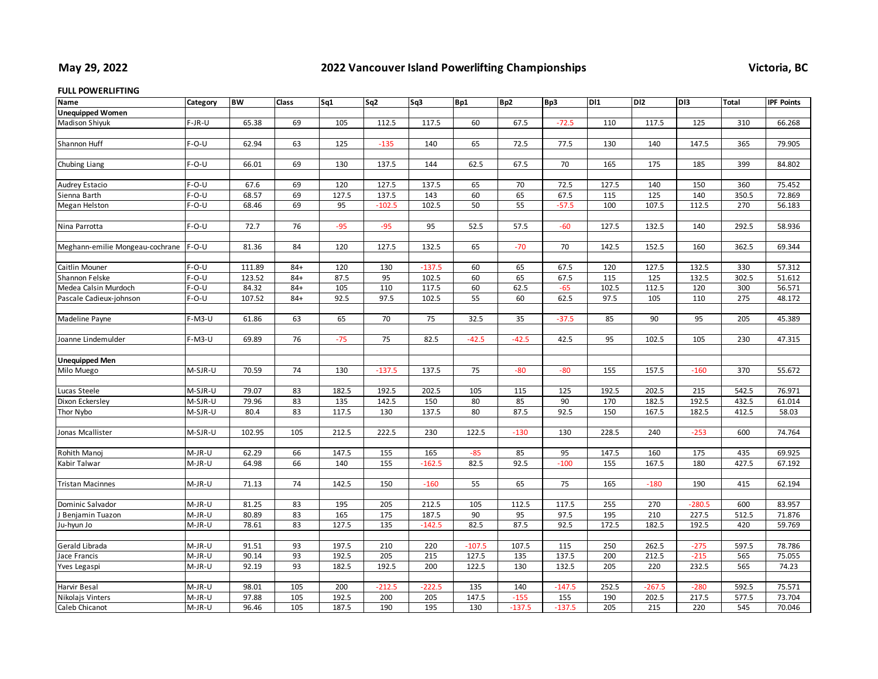## **May 29, 2022**

## **2022 Vancouver Island Powerlifting Championships Victoria, BC**

## **FULL POWERLIFTING**

| <b>Unequipped Women</b><br><b>Madison Shiyuk</b><br>$F-JR-U$<br>65.38<br>69<br>105<br>112.5<br>117.5<br>60<br>67.5<br>$-72.5$<br>110<br>117.5<br>125<br>310<br>66.268<br>Shannon Huff<br>$F-O-U$<br>62.94<br>63<br>125<br>$-135$<br>140<br>65<br>72.5<br>77.5<br>130<br>140<br>147.5<br>365<br>79.905<br>$F-O-U$<br>66.01<br>69<br>130<br>137.5<br>144<br>62.5<br>67.5<br>70<br>165<br>175<br>185<br>399<br>84.802<br>Chubing Liang<br>$F-O-U$<br>67.6<br>69<br>120<br>127.5<br>137.5<br>65<br>70<br>72.5<br>127.5<br>140<br>150<br>360<br>75.452<br>Audrey Estacio<br>$F-O-U$<br>68.57<br>69<br>127.5<br>137.5<br>60<br>65<br>67.5<br>125<br>140<br>350.5<br>72.869<br>Sienna Barth<br>143<br>115<br>69<br>95<br>50<br>55<br>$-57.5$<br>107.5<br>112.5<br>270<br>$F-O-U$<br>68.46<br>$-102.5$<br>102.5<br>100<br>56.183<br>Megan Helston<br>$F-O-U$<br>72.7<br>76<br>$-95$<br>$-95$<br>95<br>52.5<br>57.5<br>$-60$<br>127.5<br>132.5<br>140<br>292.5<br>58.936<br>Nina Parrotta<br>81.36<br>84<br>120<br>127.5<br>132.5<br>65<br>$-70$<br>70<br>142.5<br>152.5<br>160<br>362.5<br>69.344<br>$F-O-U$<br>Meghann-emilie Mongeau-cochrane<br>$F-O-U$<br>111.89<br>120<br>$-137.5$<br>60<br>67.5<br>120<br>127.5<br>132.5<br>330<br>57.312<br>Caitlin Mouner<br>$84+$<br>130<br>65<br>$F-O-U$<br>123.52<br>87.5<br>95<br>102.5<br>60<br>65<br>67.5<br>115<br>125<br>132.5<br>302.5<br>51.612<br>Shannon Felske<br>$84+$<br>105<br>117.5<br>$-65$<br>102.5<br>56.571<br>Medea Calsin Murdoch<br>$F-O-U$<br>84.32<br>$84+$<br>110<br>60<br>62.5<br>112.5<br>120<br>300<br>$F-O-U$<br>107.52<br>92.5<br>97.5<br>102.5<br>55<br>60<br>62.5<br>97.5<br>105<br>110<br>275<br>48.172<br>$84+$<br>Pascale Cadieux-johnson<br>65<br>75<br>32.5<br>35<br>205<br>Madeline Payne<br>$F-M3-U$<br>61.86<br>63<br>70<br>$-37.5$<br>85<br>90<br>95<br>45.389<br>82.5<br>230<br>$F-M3-U$<br>69.89<br>76<br>$-75$<br>75<br>$-42.5$<br>$-42.5$<br>42.5<br>95<br>102.5<br>105<br>47.315<br>Joanne Lindemulder<br><b>Unequipped Men</b><br>M-SJR-U<br>70.59<br>74<br>130<br>$-137.5$<br>137.5<br>75<br>$-80$<br>155<br>157.5<br>370<br>55.672<br>Milo Muego<br>$-80$<br>$-160$<br>79.07<br>83<br>182.5<br>192.5<br>202.5<br>105<br>125<br>192.5<br>202.5<br>215<br>542.5<br>76.971<br>Lucas Steele<br>M-SJR-U<br>115<br>83<br>135<br>150<br>80<br>85<br>90<br>182.5<br>192.5<br>Dixon Eckersley<br>M-SJR-U<br>79.96<br>142.5<br>170<br>432.5<br>61.014<br>83<br>117.5<br>137.5<br>80<br>87.5<br>92.5<br>150<br>167.5<br>412.5<br>Thor Nybo<br>M-SJR-U<br>80.4<br>130<br>182.5<br>58.03<br>102.95<br>212.5<br>222.5<br>230<br>122.5<br>74.764<br>M-SJR-U<br>105<br>$-130$<br>130<br>228.5<br>240<br>$-253$<br>600<br>Jonas Mcallister<br>M-JR-U<br>62.29<br>147.5<br>155<br>165<br>$-85$<br>95<br>147.5<br>160<br>175<br>435<br>69.925<br>Rohith Manoj<br>66<br>85<br>64.98<br>66<br>140<br>155<br>$-162.5$<br>82.5<br>92.5<br>$-100$<br>155<br>167.5<br>180<br>427.5<br>Kabir Talwar<br>M-JR-U<br>67.192<br>M-JR-U<br>71.13<br>74<br>142.5<br>150<br>$-160$<br>55<br>65<br>75<br>165<br>$-180$<br>190<br>415<br>62.194<br><b>Tristan Macinnes</b><br>81.25<br>83<br>195<br>205<br>212.5<br>105<br>255<br>270<br>$-280.5$<br>600<br>83.957<br>Dominic Salvador<br>M-JR-U<br>112.5<br>117.5<br>80.89<br>83<br>165<br>175<br>187.5<br>90<br>97.5<br>195<br>210<br>227.5<br>512.5<br>M-JR-U<br>95<br>71.876<br>Benjamin Tuazon<br>78.61<br>83<br>127.5<br>135<br>$-142.5$<br>82.5<br>87.5<br>92.5<br>172.5<br>182.5<br>192.5<br>420<br>59.769<br>M-JR-U<br>lu-hyun Jo<br>91.51<br>93<br>220<br>$-107.5$<br>115<br>250<br>$-275$<br>Gerald Librada<br>197.5<br>210<br>107.5<br>262.5<br>597.5<br>78.786<br>M-JR-U<br>127.5<br>$-215$<br>$M-JR-U$<br>90.14<br>93<br>192.5<br>205<br>215<br>135<br>137.5<br>200<br>212.5<br>565<br>75.055<br>Jace Francis<br>92.19<br>93<br>182.5<br>192.5<br>200<br>122.5<br>130<br>132.5<br>205<br>220<br>232.5<br>565<br>74.23<br>M-JR-U<br>Yves Legaspi<br>105<br>135<br>252.5<br>75.571<br>Harvir Besal<br>M-JR-U<br>98.01<br>200<br>$-212.5$<br>$-222.5$<br>140<br>$-147.5$<br>$-267.5$<br>$-280$<br>592.5<br>97.88<br>105<br>192.5<br>147.5<br>155<br>577.5<br>73.704<br>Nikolajs Vinters<br>200<br>205<br>$-155$<br>190<br>202.5<br>217.5<br>M-JR-U<br>Caleb Chicanot<br>96.46<br>105<br>187.5<br>190<br>195<br>130<br>$-137.5$<br>$-137.5$<br>205<br>215<br>220<br>545<br>70.046<br>M-JR-U | Name | Category | <b>BW</b> | Class | Sq1 | Sq <sub>2</sub> | Sq3 | Bp1 | Bp2 | Bp3 | D11 | DI <sub>2</sub> | D <sub>13</sub> | Total | <b>IPF Points</b> |
|------------------------------------------------------------------------------------------------------------------------------------------------------------------------------------------------------------------------------------------------------------------------------------------------------------------------------------------------------------------------------------------------------------------------------------------------------------------------------------------------------------------------------------------------------------------------------------------------------------------------------------------------------------------------------------------------------------------------------------------------------------------------------------------------------------------------------------------------------------------------------------------------------------------------------------------------------------------------------------------------------------------------------------------------------------------------------------------------------------------------------------------------------------------------------------------------------------------------------------------------------------------------------------------------------------------------------------------------------------------------------------------------------------------------------------------------------------------------------------------------------------------------------------------------------------------------------------------------------------------------------------------------------------------------------------------------------------------------------------------------------------------------------------------------------------------------------------------------------------------------------------------------------------------------------------------------------------------------------------------------------------------------------------------------------------------------------------------------------------------------------------------------------------------------------------------------------------------------------------------------------------------------------------------------------------------------------------------------------------------------------------------------------------------------------------------------------------------------------------------------------------------------------------------------------------------------------------------------------------------------------------------------------------------------------------------------------------------------------------------------------------------------------------------------------------------------------------------------------------------------------------------------------------------------------------------------------------------------------------------------------------------------------------------------------------------------------------------------------------------------------------------------------------------------------------------------------------------------------------------------------------------------------------------------------------------------------------------------------------------------------------------------------------------------------------------------------------------------------------------------------------------------------------------------------------------------------------------------------------------------------------------------------------------------------------------------------------------------------------------------------------------------------------------------------------------------------------------------------------------------------------------------------------------------------------------------------------------------------------------------------------------------------------------------------------------------------------------------------------------------------------------------------------------------------------------------------------------------------------------------------------------------------------------------------------------------------------------------------------------------------------------------------|------|----------|-----------|-------|-----|-----------------|-----|-----|-----|-----|-----|-----------------|-----------------|-------|-------------------|
|                                                                                                                                                                                                                                                                                                                                                                                                                                                                                                                                                                                                                                                                                                                                                                                                                                                                                                                                                                                                                                                                                                                                                                                                                                                                                                                                                                                                                                                                                                                                                                                                                                                                                                                                                                                                                                                                                                                                                                                                                                                                                                                                                                                                                                                                                                                                                                                                                                                                                                                                                                                                                                                                                                                                                                                                                                                                                                                                                                                                                                                                                                                                                                                                                                                                                                                                                                                                                                                                                                                                                                                                                                                                                                                                                                                                                                                                                                                                                                                                                                                                                                                                                                                                                                                                                                                                                                                                      |      |          |           |       |     |                 |     |     |     |     |     |                 |                 |       |                   |
|                                                                                                                                                                                                                                                                                                                                                                                                                                                                                                                                                                                                                                                                                                                                                                                                                                                                                                                                                                                                                                                                                                                                                                                                                                                                                                                                                                                                                                                                                                                                                                                                                                                                                                                                                                                                                                                                                                                                                                                                                                                                                                                                                                                                                                                                                                                                                                                                                                                                                                                                                                                                                                                                                                                                                                                                                                                                                                                                                                                                                                                                                                                                                                                                                                                                                                                                                                                                                                                                                                                                                                                                                                                                                                                                                                                                                                                                                                                                                                                                                                                                                                                                                                                                                                                                                                                                                                                                      |      |          |           |       |     |                 |     |     |     |     |     |                 |                 |       |                   |
|                                                                                                                                                                                                                                                                                                                                                                                                                                                                                                                                                                                                                                                                                                                                                                                                                                                                                                                                                                                                                                                                                                                                                                                                                                                                                                                                                                                                                                                                                                                                                                                                                                                                                                                                                                                                                                                                                                                                                                                                                                                                                                                                                                                                                                                                                                                                                                                                                                                                                                                                                                                                                                                                                                                                                                                                                                                                                                                                                                                                                                                                                                                                                                                                                                                                                                                                                                                                                                                                                                                                                                                                                                                                                                                                                                                                                                                                                                                                                                                                                                                                                                                                                                                                                                                                                                                                                                                                      |      |          |           |       |     |                 |     |     |     |     |     |                 |                 |       |                   |
|                                                                                                                                                                                                                                                                                                                                                                                                                                                                                                                                                                                                                                                                                                                                                                                                                                                                                                                                                                                                                                                                                                                                                                                                                                                                                                                                                                                                                                                                                                                                                                                                                                                                                                                                                                                                                                                                                                                                                                                                                                                                                                                                                                                                                                                                                                                                                                                                                                                                                                                                                                                                                                                                                                                                                                                                                                                                                                                                                                                                                                                                                                                                                                                                                                                                                                                                                                                                                                                                                                                                                                                                                                                                                                                                                                                                                                                                                                                                                                                                                                                                                                                                                                                                                                                                                                                                                                                                      |      |          |           |       |     |                 |     |     |     |     |     |                 |                 |       |                   |
|                                                                                                                                                                                                                                                                                                                                                                                                                                                                                                                                                                                                                                                                                                                                                                                                                                                                                                                                                                                                                                                                                                                                                                                                                                                                                                                                                                                                                                                                                                                                                                                                                                                                                                                                                                                                                                                                                                                                                                                                                                                                                                                                                                                                                                                                                                                                                                                                                                                                                                                                                                                                                                                                                                                                                                                                                                                                                                                                                                                                                                                                                                                                                                                                                                                                                                                                                                                                                                                                                                                                                                                                                                                                                                                                                                                                                                                                                                                                                                                                                                                                                                                                                                                                                                                                                                                                                                                                      |      |          |           |       |     |                 |     |     |     |     |     |                 |                 |       |                   |
|                                                                                                                                                                                                                                                                                                                                                                                                                                                                                                                                                                                                                                                                                                                                                                                                                                                                                                                                                                                                                                                                                                                                                                                                                                                                                                                                                                                                                                                                                                                                                                                                                                                                                                                                                                                                                                                                                                                                                                                                                                                                                                                                                                                                                                                                                                                                                                                                                                                                                                                                                                                                                                                                                                                                                                                                                                                                                                                                                                                                                                                                                                                                                                                                                                                                                                                                                                                                                                                                                                                                                                                                                                                                                                                                                                                                                                                                                                                                                                                                                                                                                                                                                                                                                                                                                                                                                                                                      |      |          |           |       |     |                 |     |     |     |     |     |                 |                 |       |                   |
|                                                                                                                                                                                                                                                                                                                                                                                                                                                                                                                                                                                                                                                                                                                                                                                                                                                                                                                                                                                                                                                                                                                                                                                                                                                                                                                                                                                                                                                                                                                                                                                                                                                                                                                                                                                                                                                                                                                                                                                                                                                                                                                                                                                                                                                                                                                                                                                                                                                                                                                                                                                                                                                                                                                                                                                                                                                                                                                                                                                                                                                                                                                                                                                                                                                                                                                                                                                                                                                                                                                                                                                                                                                                                                                                                                                                                                                                                                                                                                                                                                                                                                                                                                                                                                                                                                                                                                                                      |      |          |           |       |     |                 |     |     |     |     |     |                 |                 |       |                   |
|                                                                                                                                                                                                                                                                                                                                                                                                                                                                                                                                                                                                                                                                                                                                                                                                                                                                                                                                                                                                                                                                                                                                                                                                                                                                                                                                                                                                                                                                                                                                                                                                                                                                                                                                                                                                                                                                                                                                                                                                                                                                                                                                                                                                                                                                                                                                                                                                                                                                                                                                                                                                                                                                                                                                                                                                                                                                                                                                                                                                                                                                                                                                                                                                                                                                                                                                                                                                                                                                                                                                                                                                                                                                                                                                                                                                                                                                                                                                                                                                                                                                                                                                                                                                                                                                                                                                                                                                      |      |          |           |       |     |                 |     |     |     |     |     |                 |                 |       |                   |
|                                                                                                                                                                                                                                                                                                                                                                                                                                                                                                                                                                                                                                                                                                                                                                                                                                                                                                                                                                                                                                                                                                                                                                                                                                                                                                                                                                                                                                                                                                                                                                                                                                                                                                                                                                                                                                                                                                                                                                                                                                                                                                                                                                                                                                                                                                                                                                                                                                                                                                                                                                                                                                                                                                                                                                                                                                                                                                                                                                                                                                                                                                                                                                                                                                                                                                                                                                                                                                                                                                                                                                                                                                                                                                                                                                                                                                                                                                                                                                                                                                                                                                                                                                                                                                                                                                                                                                                                      |      |          |           |       |     |                 |     |     |     |     |     |                 |                 |       |                   |
|                                                                                                                                                                                                                                                                                                                                                                                                                                                                                                                                                                                                                                                                                                                                                                                                                                                                                                                                                                                                                                                                                                                                                                                                                                                                                                                                                                                                                                                                                                                                                                                                                                                                                                                                                                                                                                                                                                                                                                                                                                                                                                                                                                                                                                                                                                                                                                                                                                                                                                                                                                                                                                                                                                                                                                                                                                                                                                                                                                                                                                                                                                                                                                                                                                                                                                                                                                                                                                                                                                                                                                                                                                                                                                                                                                                                                                                                                                                                                                                                                                                                                                                                                                                                                                                                                                                                                                                                      |      |          |           |       |     |                 |     |     |     |     |     |                 |                 |       |                   |
|                                                                                                                                                                                                                                                                                                                                                                                                                                                                                                                                                                                                                                                                                                                                                                                                                                                                                                                                                                                                                                                                                                                                                                                                                                                                                                                                                                                                                                                                                                                                                                                                                                                                                                                                                                                                                                                                                                                                                                                                                                                                                                                                                                                                                                                                                                                                                                                                                                                                                                                                                                                                                                                                                                                                                                                                                                                                                                                                                                                                                                                                                                                                                                                                                                                                                                                                                                                                                                                                                                                                                                                                                                                                                                                                                                                                                                                                                                                                                                                                                                                                                                                                                                                                                                                                                                                                                                                                      |      |          |           |       |     |                 |     |     |     |     |     |                 |                 |       |                   |
|                                                                                                                                                                                                                                                                                                                                                                                                                                                                                                                                                                                                                                                                                                                                                                                                                                                                                                                                                                                                                                                                                                                                                                                                                                                                                                                                                                                                                                                                                                                                                                                                                                                                                                                                                                                                                                                                                                                                                                                                                                                                                                                                                                                                                                                                                                                                                                                                                                                                                                                                                                                                                                                                                                                                                                                                                                                                                                                                                                                                                                                                                                                                                                                                                                                                                                                                                                                                                                                                                                                                                                                                                                                                                                                                                                                                                                                                                                                                                                                                                                                                                                                                                                                                                                                                                                                                                                                                      |      |          |           |       |     |                 |     |     |     |     |     |                 |                 |       |                   |
|                                                                                                                                                                                                                                                                                                                                                                                                                                                                                                                                                                                                                                                                                                                                                                                                                                                                                                                                                                                                                                                                                                                                                                                                                                                                                                                                                                                                                                                                                                                                                                                                                                                                                                                                                                                                                                                                                                                                                                                                                                                                                                                                                                                                                                                                                                                                                                                                                                                                                                                                                                                                                                                                                                                                                                                                                                                                                                                                                                                                                                                                                                                                                                                                                                                                                                                                                                                                                                                                                                                                                                                                                                                                                                                                                                                                                                                                                                                                                                                                                                                                                                                                                                                                                                                                                                                                                                                                      |      |          |           |       |     |                 |     |     |     |     |     |                 |                 |       |                   |
|                                                                                                                                                                                                                                                                                                                                                                                                                                                                                                                                                                                                                                                                                                                                                                                                                                                                                                                                                                                                                                                                                                                                                                                                                                                                                                                                                                                                                                                                                                                                                                                                                                                                                                                                                                                                                                                                                                                                                                                                                                                                                                                                                                                                                                                                                                                                                                                                                                                                                                                                                                                                                                                                                                                                                                                                                                                                                                                                                                                                                                                                                                                                                                                                                                                                                                                                                                                                                                                                                                                                                                                                                                                                                                                                                                                                                                                                                                                                                                                                                                                                                                                                                                                                                                                                                                                                                                                                      |      |          |           |       |     |                 |     |     |     |     |     |                 |                 |       |                   |
|                                                                                                                                                                                                                                                                                                                                                                                                                                                                                                                                                                                                                                                                                                                                                                                                                                                                                                                                                                                                                                                                                                                                                                                                                                                                                                                                                                                                                                                                                                                                                                                                                                                                                                                                                                                                                                                                                                                                                                                                                                                                                                                                                                                                                                                                                                                                                                                                                                                                                                                                                                                                                                                                                                                                                                                                                                                                                                                                                                                                                                                                                                                                                                                                                                                                                                                                                                                                                                                                                                                                                                                                                                                                                                                                                                                                                                                                                                                                                                                                                                                                                                                                                                                                                                                                                                                                                                                                      |      |          |           |       |     |                 |     |     |     |     |     |                 |                 |       |                   |
|                                                                                                                                                                                                                                                                                                                                                                                                                                                                                                                                                                                                                                                                                                                                                                                                                                                                                                                                                                                                                                                                                                                                                                                                                                                                                                                                                                                                                                                                                                                                                                                                                                                                                                                                                                                                                                                                                                                                                                                                                                                                                                                                                                                                                                                                                                                                                                                                                                                                                                                                                                                                                                                                                                                                                                                                                                                                                                                                                                                                                                                                                                                                                                                                                                                                                                                                                                                                                                                                                                                                                                                                                                                                                                                                                                                                                                                                                                                                                                                                                                                                                                                                                                                                                                                                                                                                                                                                      |      |          |           |       |     |                 |     |     |     |     |     |                 |                 |       |                   |
|                                                                                                                                                                                                                                                                                                                                                                                                                                                                                                                                                                                                                                                                                                                                                                                                                                                                                                                                                                                                                                                                                                                                                                                                                                                                                                                                                                                                                                                                                                                                                                                                                                                                                                                                                                                                                                                                                                                                                                                                                                                                                                                                                                                                                                                                                                                                                                                                                                                                                                                                                                                                                                                                                                                                                                                                                                                                                                                                                                                                                                                                                                                                                                                                                                                                                                                                                                                                                                                                                                                                                                                                                                                                                                                                                                                                                                                                                                                                                                                                                                                                                                                                                                                                                                                                                                                                                                                                      |      |          |           |       |     |                 |     |     |     |     |     |                 |                 |       |                   |
|                                                                                                                                                                                                                                                                                                                                                                                                                                                                                                                                                                                                                                                                                                                                                                                                                                                                                                                                                                                                                                                                                                                                                                                                                                                                                                                                                                                                                                                                                                                                                                                                                                                                                                                                                                                                                                                                                                                                                                                                                                                                                                                                                                                                                                                                                                                                                                                                                                                                                                                                                                                                                                                                                                                                                                                                                                                                                                                                                                                                                                                                                                                                                                                                                                                                                                                                                                                                                                                                                                                                                                                                                                                                                                                                                                                                                                                                                                                                                                                                                                                                                                                                                                                                                                                                                                                                                                                                      |      |          |           |       |     |                 |     |     |     |     |     |                 |                 |       |                   |
|                                                                                                                                                                                                                                                                                                                                                                                                                                                                                                                                                                                                                                                                                                                                                                                                                                                                                                                                                                                                                                                                                                                                                                                                                                                                                                                                                                                                                                                                                                                                                                                                                                                                                                                                                                                                                                                                                                                                                                                                                                                                                                                                                                                                                                                                                                                                                                                                                                                                                                                                                                                                                                                                                                                                                                                                                                                                                                                                                                                                                                                                                                                                                                                                                                                                                                                                                                                                                                                                                                                                                                                                                                                                                                                                                                                                                                                                                                                                                                                                                                                                                                                                                                                                                                                                                                                                                                                                      |      |          |           |       |     |                 |     |     |     |     |     |                 |                 |       |                   |
|                                                                                                                                                                                                                                                                                                                                                                                                                                                                                                                                                                                                                                                                                                                                                                                                                                                                                                                                                                                                                                                                                                                                                                                                                                                                                                                                                                                                                                                                                                                                                                                                                                                                                                                                                                                                                                                                                                                                                                                                                                                                                                                                                                                                                                                                                                                                                                                                                                                                                                                                                                                                                                                                                                                                                                                                                                                                                                                                                                                                                                                                                                                                                                                                                                                                                                                                                                                                                                                                                                                                                                                                                                                                                                                                                                                                                                                                                                                                                                                                                                                                                                                                                                                                                                                                                                                                                                                                      |      |          |           |       |     |                 |     |     |     |     |     |                 |                 |       |                   |
|                                                                                                                                                                                                                                                                                                                                                                                                                                                                                                                                                                                                                                                                                                                                                                                                                                                                                                                                                                                                                                                                                                                                                                                                                                                                                                                                                                                                                                                                                                                                                                                                                                                                                                                                                                                                                                                                                                                                                                                                                                                                                                                                                                                                                                                                                                                                                                                                                                                                                                                                                                                                                                                                                                                                                                                                                                                                                                                                                                                                                                                                                                                                                                                                                                                                                                                                                                                                                                                                                                                                                                                                                                                                                                                                                                                                                                                                                                                                                                                                                                                                                                                                                                                                                                                                                                                                                                                                      |      |          |           |       |     |                 |     |     |     |     |     |                 |                 |       |                   |
|                                                                                                                                                                                                                                                                                                                                                                                                                                                                                                                                                                                                                                                                                                                                                                                                                                                                                                                                                                                                                                                                                                                                                                                                                                                                                                                                                                                                                                                                                                                                                                                                                                                                                                                                                                                                                                                                                                                                                                                                                                                                                                                                                                                                                                                                                                                                                                                                                                                                                                                                                                                                                                                                                                                                                                                                                                                                                                                                                                                                                                                                                                                                                                                                                                                                                                                                                                                                                                                                                                                                                                                                                                                                                                                                                                                                                                                                                                                                                                                                                                                                                                                                                                                                                                                                                                                                                                                                      |      |          |           |       |     |                 |     |     |     |     |     |                 |                 |       |                   |
|                                                                                                                                                                                                                                                                                                                                                                                                                                                                                                                                                                                                                                                                                                                                                                                                                                                                                                                                                                                                                                                                                                                                                                                                                                                                                                                                                                                                                                                                                                                                                                                                                                                                                                                                                                                                                                                                                                                                                                                                                                                                                                                                                                                                                                                                                                                                                                                                                                                                                                                                                                                                                                                                                                                                                                                                                                                                                                                                                                                                                                                                                                                                                                                                                                                                                                                                                                                                                                                                                                                                                                                                                                                                                                                                                                                                                                                                                                                                                                                                                                                                                                                                                                                                                                                                                                                                                                                                      |      |          |           |       |     |                 |     |     |     |     |     |                 |                 |       |                   |
|                                                                                                                                                                                                                                                                                                                                                                                                                                                                                                                                                                                                                                                                                                                                                                                                                                                                                                                                                                                                                                                                                                                                                                                                                                                                                                                                                                                                                                                                                                                                                                                                                                                                                                                                                                                                                                                                                                                                                                                                                                                                                                                                                                                                                                                                                                                                                                                                                                                                                                                                                                                                                                                                                                                                                                                                                                                                                                                                                                                                                                                                                                                                                                                                                                                                                                                                                                                                                                                                                                                                                                                                                                                                                                                                                                                                                                                                                                                                                                                                                                                                                                                                                                                                                                                                                                                                                                                                      |      |          |           |       |     |                 |     |     |     |     |     |                 |                 |       |                   |
|                                                                                                                                                                                                                                                                                                                                                                                                                                                                                                                                                                                                                                                                                                                                                                                                                                                                                                                                                                                                                                                                                                                                                                                                                                                                                                                                                                                                                                                                                                                                                                                                                                                                                                                                                                                                                                                                                                                                                                                                                                                                                                                                                                                                                                                                                                                                                                                                                                                                                                                                                                                                                                                                                                                                                                                                                                                                                                                                                                                                                                                                                                                                                                                                                                                                                                                                                                                                                                                                                                                                                                                                                                                                                                                                                                                                                                                                                                                                                                                                                                                                                                                                                                                                                                                                                                                                                                                                      |      |          |           |       |     |                 |     |     |     |     |     |                 |                 |       |                   |
|                                                                                                                                                                                                                                                                                                                                                                                                                                                                                                                                                                                                                                                                                                                                                                                                                                                                                                                                                                                                                                                                                                                                                                                                                                                                                                                                                                                                                                                                                                                                                                                                                                                                                                                                                                                                                                                                                                                                                                                                                                                                                                                                                                                                                                                                                                                                                                                                                                                                                                                                                                                                                                                                                                                                                                                                                                                                                                                                                                                                                                                                                                                                                                                                                                                                                                                                                                                                                                                                                                                                                                                                                                                                                                                                                                                                                                                                                                                                                                                                                                                                                                                                                                                                                                                                                                                                                                                                      |      |          |           |       |     |                 |     |     |     |     |     |                 |                 |       |                   |
|                                                                                                                                                                                                                                                                                                                                                                                                                                                                                                                                                                                                                                                                                                                                                                                                                                                                                                                                                                                                                                                                                                                                                                                                                                                                                                                                                                                                                                                                                                                                                                                                                                                                                                                                                                                                                                                                                                                                                                                                                                                                                                                                                                                                                                                                                                                                                                                                                                                                                                                                                                                                                                                                                                                                                                                                                                                                                                                                                                                                                                                                                                                                                                                                                                                                                                                                                                                                                                                                                                                                                                                                                                                                                                                                                                                                                                                                                                                                                                                                                                                                                                                                                                                                                                                                                                                                                                                                      |      |          |           |       |     |                 |     |     |     |     |     |                 |                 |       |                   |
|                                                                                                                                                                                                                                                                                                                                                                                                                                                                                                                                                                                                                                                                                                                                                                                                                                                                                                                                                                                                                                                                                                                                                                                                                                                                                                                                                                                                                                                                                                                                                                                                                                                                                                                                                                                                                                                                                                                                                                                                                                                                                                                                                                                                                                                                                                                                                                                                                                                                                                                                                                                                                                                                                                                                                                                                                                                                                                                                                                                                                                                                                                                                                                                                                                                                                                                                                                                                                                                                                                                                                                                                                                                                                                                                                                                                                                                                                                                                                                                                                                                                                                                                                                                                                                                                                                                                                                                                      |      |          |           |       |     |                 |     |     |     |     |     |                 |                 |       |                   |
|                                                                                                                                                                                                                                                                                                                                                                                                                                                                                                                                                                                                                                                                                                                                                                                                                                                                                                                                                                                                                                                                                                                                                                                                                                                                                                                                                                                                                                                                                                                                                                                                                                                                                                                                                                                                                                                                                                                                                                                                                                                                                                                                                                                                                                                                                                                                                                                                                                                                                                                                                                                                                                                                                                                                                                                                                                                                                                                                                                                                                                                                                                                                                                                                                                                                                                                                                                                                                                                                                                                                                                                                                                                                                                                                                                                                                                                                                                                                                                                                                                                                                                                                                                                                                                                                                                                                                                                                      |      |          |           |       |     |                 |     |     |     |     |     |                 |                 |       |                   |
|                                                                                                                                                                                                                                                                                                                                                                                                                                                                                                                                                                                                                                                                                                                                                                                                                                                                                                                                                                                                                                                                                                                                                                                                                                                                                                                                                                                                                                                                                                                                                                                                                                                                                                                                                                                                                                                                                                                                                                                                                                                                                                                                                                                                                                                                                                                                                                                                                                                                                                                                                                                                                                                                                                                                                                                                                                                                                                                                                                                                                                                                                                                                                                                                                                                                                                                                                                                                                                                                                                                                                                                                                                                                                                                                                                                                                                                                                                                                                                                                                                                                                                                                                                                                                                                                                                                                                                                                      |      |          |           |       |     |                 |     |     |     |     |     |                 |                 |       |                   |
|                                                                                                                                                                                                                                                                                                                                                                                                                                                                                                                                                                                                                                                                                                                                                                                                                                                                                                                                                                                                                                                                                                                                                                                                                                                                                                                                                                                                                                                                                                                                                                                                                                                                                                                                                                                                                                                                                                                                                                                                                                                                                                                                                                                                                                                                                                                                                                                                                                                                                                                                                                                                                                                                                                                                                                                                                                                                                                                                                                                                                                                                                                                                                                                                                                                                                                                                                                                                                                                                                                                                                                                                                                                                                                                                                                                                                                                                                                                                                                                                                                                                                                                                                                                                                                                                                                                                                                                                      |      |          |           |       |     |                 |     |     |     |     |     |                 |                 |       |                   |
|                                                                                                                                                                                                                                                                                                                                                                                                                                                                                                                                                                                                                                                                                                                                                                                                                                                                                                                                                                                                                                                                                                                                                                                                                                                                                                                                                                                                                                                                                                                                                                                                                                                                                                                                                                                                                                                                                                                                                                                                                                                                                                                                                                                                                                                                                                                                                                                                                                                                                                                                                                                                                                                                                                                                                                                                                                                                                                                                                                                                                                                                                                                                                                                                                                                                                                                                                                                                                                                                                                                                                                                                                                                                                                                                                                                                                                                                                                                                                                                                                                                                                                                                                                                                                                                                                                                                                                                                      |      |          |           |       |     |                 |     |     |     |     |     |                 |                 |       |                   |
|                                                                                                                                                                                                                                                                                                                                                                                                                                                                                                                                                                                                                                                                                                                                                                                                                                                                                                                                                                                                                                                                                                                                                                                                                                                                                                                                                                                                                                                                                                                                                                                                                                                                                                                                                                                                                                                                                                                                                                                                                                                                                                                                                                                                                                                                                                                                                                                                                                                                                                                                                                                                                                                                                                                                                                                                                                                                                                                                                                                                                                                                                                                                                                                                                                                                                                                                                                                                                                                                                                                                                                                                                                                                                                                                                                                                                                                                                                                                                                                                                                                                                                                                                                                                                                                                                                                                                                                                      |      |          |           |       |     |                 |     |     |     |     |     |                 |                 |       |                   |
|                                                                                                                                                                                                                                                                                                                                                                                                                                                                                                                                                                                                                                                                                                                                                                                                                                                                                                                                                                                                                                                                                                                                                                                                                                                                                                                                                                                                                                                                                                                                                                                                                                                                                                                                                                                                                                                                                                                                                                                                                                                                                                                                                                                                                                                                                                                                                                                                                                                                                                                                                                                                                                                                                                                                                                                                                                                                                                                                                                                                                                                                                                                                                                                                                                                                                                                                                                                                                                                                                                                                                                                                                                                                                                                                                                                                                                                                                                                                                                                                                                                                                                                                                                                                                                                                                                                                                                                                      |      |          |           |       |     |                 |     |     |     |     |     |                 |                 |       |                   |
|                                                                                                                                                                                                                                                                                                                                                                                                                                                                                                                                                                                                                                                                                                                                                                                                                                                                                                                                                                                                                                                                                                                                                                                                                                                                                                                                                                                                                                                                                                                                                                                                                                                                                                                                                                                                                                                                                                                                                                                                                                                                                                                                                                                                                                                                                                                                                                                                                                                                                                                                                                                                                                                                                                                                                                                                                                                                                                                                                                                                                                                                                                                                                                                                                                                                                                                                                                                                                                                                                                                                                                                                                                                                                                                                                                                                                                                                                                                                                                                                                                                                                                                                                                                                                                                                                                                                                                                                      |      |          |           |       |     |                 |     |     |     |     |     |                 |                 |       |                   |
|                                                                                                                                                                                                                                                                                                                                                                                                                                                                                                                                                                                                                                                                                                                                                                                                                                                                                                                                                                                                                                                                                                                                                                                                                                                                                                                                                                                                                                                                                                                                                                                                                                                                                                                                                                                                                                                                                                                                                                                                                                                                                                                                                                                                                                                                                                                                                                                                                                                                                                                                                                                                                                                                                                                                                                                                                                                                                                                                                                                                                                                                                                                                                                                                                                                                                                                                                                                                                                                                                                                                                                                                                                                                                                                                                                                                                                                                                                                                                                                                                                                                                                                                                                                                                                                                                                                                                                                                      |      |          |           |       |     |                 |     |     |     |     |     |                 |                 |       |                   |
|                                                                                                                                                                                                                                                                                                                                                                                                                                                                                                                                                                                                                                                                                                                                                                                                                                                                                                                                                                                                                                                                                                                                                                                                                                                                                                                                                                                                                                                                                                                                                                                                                                                                                                                                                                                                                                                                                                                                                                                                                                                                                                                                                                                                                                                                                                                                                                                                                                                                                                                                                                                                                                                                                                                                                                                                                                                                                                                                                                                                                                                                                                                                                                                                                                                                                                                                                                                                                                                                                                                                                                                                                                                                                                                                                                                                                                                                                                                                                                                                                                                                                                                                                                                                                                                                                                                                                                                                      |      |          |           |       |     |                 |     |     |     |     |     |                 |                 |       |                   |
|                                                                                                                                                                                                                                                                                                                                                                                                                                                                                                                                                                                                                                                                                                                                                                                                                                                                                                                                                                                                                                                                                                                                                                                                                                                                                                                                                                                                                                                                                                                                                                                                                                                                                                                                                                                                                                                                                                                                                                                                                                                                                                                                                                                                                                                                                                                                                                                                                                                                                                                                                                                                                                                                                                                                                                                                                                                                                                                                                                                                                                                                                                                                                                                                                                                                                                                                                                                                                                                                                                                                                                                                                                                                                                                                                                                                                                                                                                                                                                                                                                                                                                                                                                                                                                                                                                                                                                                                      |      |          |           |       |     |                 |     |     |     |     |     |                 |                 |       |                   |
|                                                                                                                                                                                                                                                                                                                                                                                                                                                                                                                                                                                                                                                                                                                                                                                                                                                                                                                                                                                                                                                                                                                                                                                                                                                                                                                                                                                                                                                                                                                                                                                                                                                                                                                                                                                                                                                                                                                                                                                                                                                                                                                                                                                                                                                                                                                                                                                                                                                                                                                                                                                                                                                                                                                                                                                                                                                                                                                                                                                                                                                                                                                                                                                                                                                                                                                                                                                                                                                                                                                                                                                                                                                                                                                                                                                                                                                                                                                                                                                                                                                                                                                                                                                                                                                                                                                                                                                                      |      |          |           |       |     |                 |     |     |     |     |     |                 |                 |       |                   |
|                                                                                                                                                                                                                                                                                                                                                                                                                                                                                                                                                                                                                                                                                                                                                                                                                                                                                                                                                                                                                                                                                                                                                                                                                                                                                                                                                                                                                                                                                                                                                                                                                                                                                                                                                                                                                                                                                                                                                                                                                                                                                                                                                                                                                                                                                                                                                                                                                                                                                                                                                                                                                                                                                                                                                                                                                                                                                                                                                                                                                                                                                                                                                                                                                                                                                                                                                                                                                                                                                                                                                                                                                                                                                                                                                                                                                                                                                                                                                                                                                                                                                                                                                                                                                                                                                                                                                                                                      |      |          |           |       |     |                 |     |     |     |     |     |                 |                 |       |                   |
|                                                                                                                                                                                                                                                                                                                                                                                                                                                                                                                                                                                                                                                                                                                                                                                                                                                                                                                                                                                                                                                                                                                                                                                                                                                                                                                                                                                                                                                                                                                                                                                                                                                                                                                                                                                                                                                                                                                                                                                                                                                                                                                                                                                                                                                                                                                                                                                                                                                                                                                                                                                                                                                                                                                                                                                                                                                                                                                                                                                                                                                                                                                                                                                                                                                                                                                                                                                                                                                                                                                                                                                                                                                                                                                                                                                                                                                                                                                                                                                                                                                                                                                                                                                                                                                                                                                                                                                                      |      |          |           |       |     |                 |     |     |     |     |     |                 |                 |       |                   |
|                                                                                                                                                                                                                                                                                                                                                                                                                                                                                                                                                                                                                                                                                                                                                                                                                                                                                                                                                                                                                                                                                                                                                                                                                                                                                                                                                                                                                                                                                                                                                                                                                                                                                                                                                                                                                                                                                                                                                                                                                                                                                                                                                                                                                                                                                                                                                                                                                                                                                                                                                                                                                                                                                                                                                                                                                                                                                                                                                                                                                                                                                                                                                                                                                                                                                                                                                                                                                                                                                                                                                                                                                                                                                                                                                                                                                                                                                                                                                                                                                                                                                                                                                                                                                                                                                                                                                                                                      |      |          |           |       |     |                 |     |     |     |     |     |                 |                 |       |                   |
|                                                                                                                                                                                                                                                                                                                                                                                                                                                                                                                                                                                                                                                                                                                                                                                                                                                                                                                                                                                                                                                                                                                                                                                                                                                                                                                                                                                                                                                                                                                                                                                                                                                                                                                                                                                                                                                                                                                                                                                                                                                                                                                                                                                                                                                                                                                                                                                                                                                                                                                                                                                                                                                                                                                                                                                                                                                                                                                                                                                                                                                                                                                                                                                                                                                                                                                                                                                                                                                                                                                                                                                                                                                                                                                                                                                                                                                                                                                                                                                                                                                                                                                                                                                                                                                                                                                                                                                                      |      |          |           |       |     |                 |     |     |     |     |     |                 |                 |       |                   |
|                                                                                                                                                                                                                                                                                                                                                                                                                                                                                                                                                                                                                                                                                                                                                                                                                                                                                                                                                                                                                                                                                                                                                                                                                                                                                                                                                                                                                                                                                                                                                                                                                                                                                                                                                                                                                                                                                                                                                                                                                                                                                                                                                                                                                                                                                                                                                                                                                                                                                                                                                                                                                                                                                                                                                                                                                                                                                                                                                                                                                                                                                                                                                                                                                                                                                                                                                                                                                                                                                                                                                                                                                                                                                                                                                                                                                                                                                                                                                                                                                                                                                                                                                                                                                                                                                                                                                                                                      |      |          |           |       |     |                 |     |     |     |     |     |                 |                 |       |                   |
|                                                                                                                                                                                                                                                                                                                                                                                                                                                                                                                                                                                                                                                                                                                                                                                                                                                                                                                                                                                                                                                                                                                                                                                                                                                                                                                                                                                                                                                                                                                                                                                                                                                                                                                                                                                                                                                                                                                                                                                                                                                                                                                                                                                                                                                                                                                                                                                                                                                                                                                                                                                                                                                                                                                                                                                                                                                                                                                                                                                                                                                                                                                                                                                                                                                                                                                                                                                                                                                                                                                                                                                                                                                                                                                                                                                                                                                                                                                                                                                                                                                                                                                                                                                                                                                                                                                                                                                                      |      |          |           |       |     |                 |     |     |     |     |     |                 |                 |       |                   |
|                                                                                                                                                                                                                                                                                                                                                                                                                                                                                                                                                                                                                                                                                                                                                                                                                                                                                                                                                                                                                                                                                                                                                                                                                                                                                                                                                                                                                                                                                                                                                                                                                                                                                                                                                                                                                                                                                                                                                                                                                                                                                                                                                                                                                                                                                                                                                                                                                                                                                                                                                                                                                                                                                                                                                                                                                                                                                                                                                                                                                                                                                                                                                                                                                                                                                                                                                                                                                                                                                                                                                                                                                                                                                                                                                                                                                                                                                                                                                                                                                                                                                                                                                                                                                                                                                                                                                                                                      |      |          |           |       |     |                 |     |     |     |     |     |                 |                 |       |                   |
|                                                                                                                                                                                                                                                                                                                                                                                                                                                                                                                                                                                                                                                                                                                                                                                                                                                                                                                                                                                                                                                                                                                                                                                                                                                                                                                                                                                                                                                                                                                                                                                                                                                                                                                                                                                                                                                                                                                                                                                                                                                                                                                                                                                                                                                                                                                                                                                                                                                                                                                                                                                                                                                                                                                                                                                                                                                                                                                                                                                                                                                                                                                                                                                                                                                                                                                                                                                                                                                                                                                                                                                                                                                                                                                                                                                                                                                                                                                                                                                                                                                                                                                                                                                                                                                                                                                                                                                                      |      |          |           |       |     |                 |     |     |     |     |     |                 |                 |       |                   |
|                                                                                                                                                                                                                                                                                                                                                                                                                                                                                                                                                                                                                                                                                                                                                                                                                                                                                                                                                                                                                                                                                                                                                                                                                                                                                                                                                                                                                                                                                                                                                                                                                                                                                                                                                                                                                                                                                                                                                                                                                                                                                                                                                                                                                                                                                                                                                                                                                                                                                                                                                                                                                                                                                                                                                                                                                                                                                                                                                                                                                                                                                                                                                                                                                                                                                                                                                                                                                                                                                                                                                                                                                                                                                                                                                                                                                                                                                                                                                                                                                                                                                                                                                                                                                                                                                                                                                                                                      |      |          |           |       |     |                 |     |     |     |     |     |                 |                 |       |                   |
|                                                                                                                                                                                                                                                                                                                                                                                                                                                                                                                                                                                                                                                                                                                                                                                                                                                                                                                                                                                                                                                                                                                                                                                                                                                                                                                                                                                                                                                                                                                                                                                                                                                                                                                                                                                                                                                                                                                                                                                                                                                                                                                                                                                                                                                                                                                                                                                                                                                                                                                                                                                                                                                                                                                                                                                                                                                                                                                                                                                                                                                                                                                                                                                                                                                                                                                                                                                                                                                                                                                                                                                                                                                                                                                                                                                                                                                                                                                                                                                                                                                                                                                                                                                                                                                                                                                                                                                                      |      |          |           |       |     |                 |     |     |     |     |     |                 |                 |       |                   |